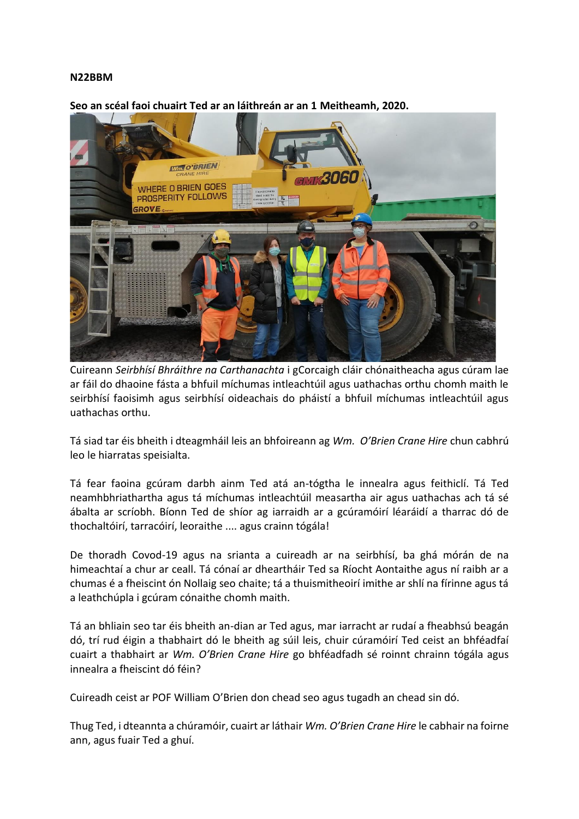## **N22BBM**



**Seo an scéal faoi chuairt Ted ar an láithreán ar an 1 Meitheamh, 2020.**

Cuireann *Seirbhísí Bhráithre na Carthanachta* i gCorcaigh cláir chónaitheacha agus cúram lae ar fáil do dhaoine fásta a bhfuil míchumas intleachtúil agus uathachas orthu chomh maith le seirbhísí faoisimh agus seirbhísí oideachais do pháistí a bhfuil míchumas intleachtúil agus uathachas orthu.

Tá siad tar éis bheith i dteagmháil leis an bhfoireann ag *Wm. O'Brien Crane Hire* chun cabhrú leo le hiarratas speisialta.

Tá fear faoina gcúram darbh ainm Ted atá an-tógtha le innealra agus feithiclí. Tá Ted neamhbhriathartha agus tá míchumas intleachtúil measartha air agus uathachas ach tá sé ábalta ar scríobh. Bíonn Ted de shíor ag iarraidh ar a gcúramóirí léaráidí a tharrac dó de thochaltóirí, tarracóirí, leoraithe .... agus crainn tógála!

De thoradh Covod-19 agus na srianta a cuireadh ar na seirbhísí, ba ghá mórán de na himeachtaí a chur ar ceall. Tá cónaí ar dheartháir Ted sa Ríocht Aontaithe agus ní raibh ar a chumas é a fheiscint ón Nollaig seo chaite; tá a thuismitheoirí imithe ar shlí na fírinne agus tá a leathchúpla i gcúram cónaithe chomh maith.

Tá an bhliain seo tar éis bheith an-dian ar Ted agus, mar iarracht ar rudaí a fheabhsú beagán dó, trí rud éigin a thabhairt dó le bheith ag súil leis, chuir cúramóirí Ted ceist an bhféadfaí cuairt a thabhairt ar *Wm. O'Brien Crane Hire* go bhféadfadh sé roinnt chrainn tógála agus innealra a fheiscint dó féin?

Cuireadh ceist ar POF William O'Brien don chead seo agus tugadh an chead sin dó.

Thug Ted, i dteannta a chúramóir, cuairt ar láthair *Wm. O'Brien Crane Hire* le cabhair na foirne ann, agus fuair Ted a ghuí.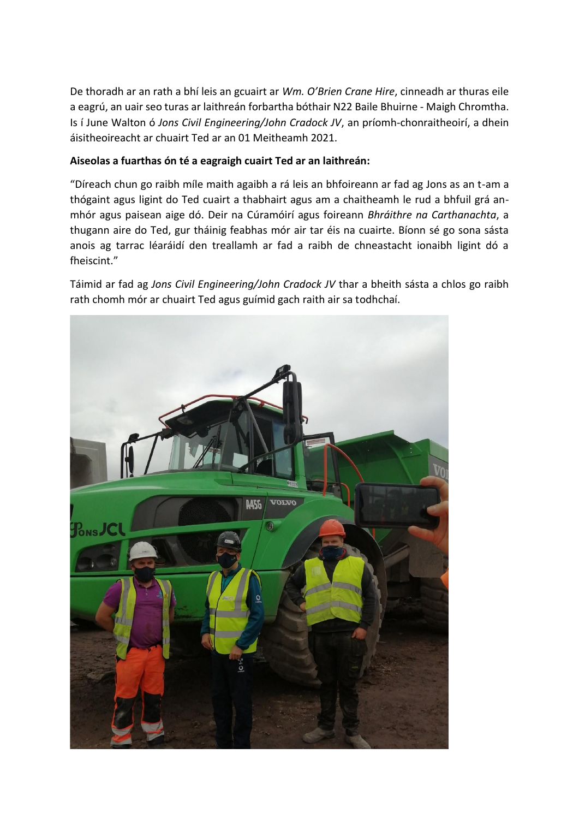De thoradh ar an rath a bhí leis an gcuairt ar *Wm. O'Brien Crane Hire*, cinneadh ar thuras eile a eagrú, an uair seo turas ar laithreán forbartha bóthair N22 Baile Bhuirne - Maigh Chromtha. Is í June Walton ó *Jons Civil Engineering/John Cradock JV*, an príomh-chonraitheoirí, a dhein áisitheoireacht ar chuairt Ted ar an 01 Meitheamh 2021.

## **Aiseolas a fuarthas ón té a eagraigh cuairt Ted ar an laithreán:**

"Díreach chun go raibh míle maith agaibh a rá leis an bhfoireann ar fad ag Jons as an t-am a thógaint agus ligint do Ted cuairt a thabhairt agus am a chaitheamh le rud a bhfuil grá anmhór agus paisean aige dó. Deir na Cúramóirí agus foireann *Bhráithre na Carthanachta*, a thugann aire do Ted, gur tháinig feabhas mór air tar éis na cuairte. Bíonn sé go sona sásta anois ag tarrac léaráidí den treallamh ar fad a raibh de chneastacht ionaibh ligint dó a fheiscint."

Táimid ar fad ag *Jons Civil Engineering/John Cradock JV* thar a bheith sásta a chlos go raibh rath chomh mór ar chuairt Ted agus guímid gach raith air sa todhchaí.

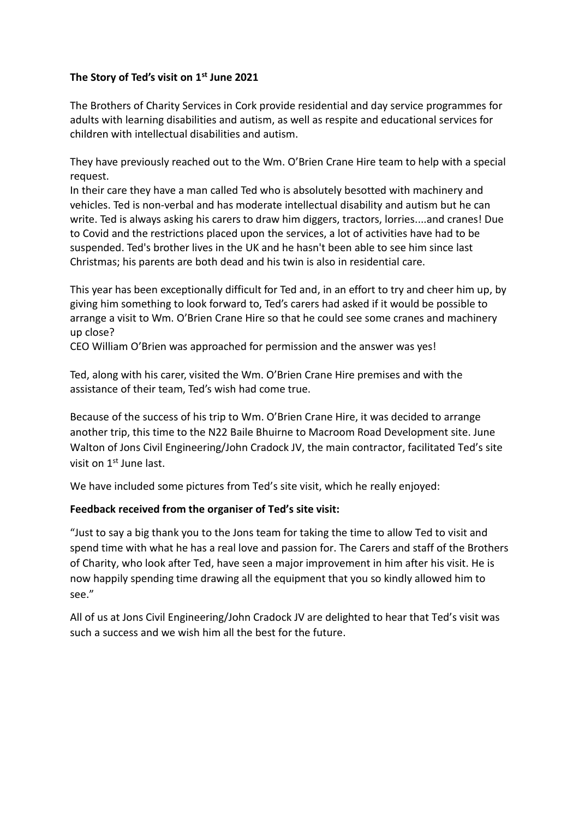## **The Story of Ted's visit on 1st June 2021**

The Brothers of Charity Services in Cork provide residential and day service programmes for adults with learning disabilities and autism, as well as respite and educational services for children with intellectual disabilities and autism.

They have previously reached out to the Wm. O'Brien Crane Hire team to help with a special request.

In their care they have a man called Ted who is absolutely besotted with machinery and vehicles. Ted is non-verbal and has moderate intellectual disability and autism but he can write. Ted is always asking his carers to draw him diggers, tractors, lorries....and cranes! Due to Covid and the restrictions placed upon the services, a lot of activities have had to be suspended. Ted's brother lives in the UK and he hasn't been able to see him since last Christmas; his parents are both dead and his twin is also in residential care.

This year has been exceptionally difficult for Ted and, in an effort to try and cheer him up, by giving him something to look forward to, Ted's carers had asked if it would be possible to arrange a visit to Wm. O'Brien Crane Hire so that he could see some cranes and machinery up close?

CEO William O'Brien was approached for permission and the answer was yes!

Ted, along with his carer, visited the Wm. O'Brien Crane Hire premises and with the assistance of their team, Ted's wish had come true.

Because of the success of his trip to Wm. O'Brien Crane Hire, it was decided to arrange another trip, this time to the N22 Baile Bhuirne to Macroom Road Development site. June Walton of Jons Civil Engineering/John Cradock JV, the main contractor, facilitated Ted's site visit on 1<sup>st</sup> June last.

We have included some pictures from Ted's site visit, which he really enjoyed:

## **Feedback received from the organiser of Ted's site visit:**

"Just to say a big thank you to the Jons team for taking the time to allow Ted to visit and spend time with what he has a real love and passion for. The Carers and staff of the Brothers of Charity, who look after Ted, have seen a major improvement in him after his visit. He is now happily spending time drawing all the equipment that you so kindly allowed him to see."

All of us at Jons Civil Engineering/John Cradock JV are delighted to hear that Ted's visit was such a success and we wish him all the best for the future.